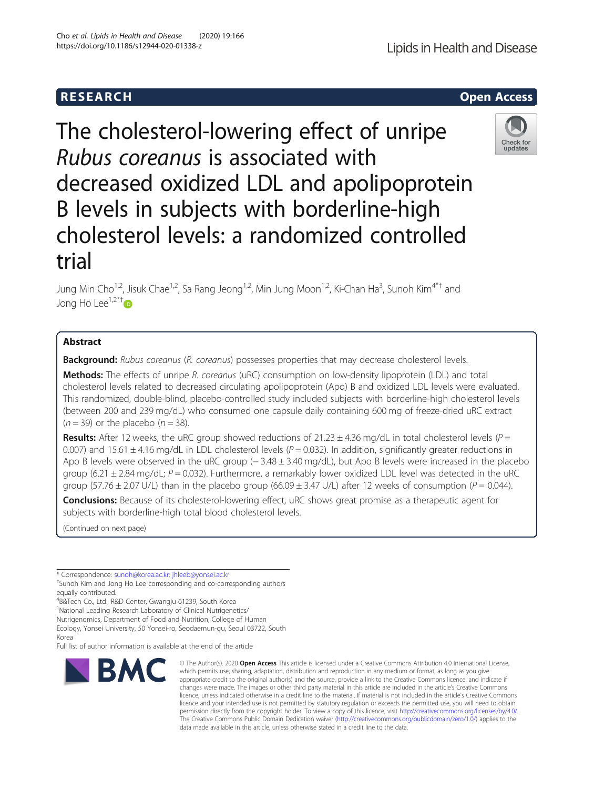# The cholesterol-lowering effect of unripe Rubus coreanus is associated with decreased oxidized LDL and apolipoprotein B levels in subjects with borderline-high cholesterol levels: a randomized controlled trial

Jung Min Cho<sup>1,2</sup>, Jisuk Chae<sup>1,2</sup>, Sa Rang Jeong<sup>1,2</sup>, Min Jung Moon<sup>1,2</sup>, Ki-Chan Ha<sup>3</sup>, Sunoh Kim<sup>4\*†</sup> and Jong Ho Lee $1,2^{*+}$ 

# Abstract

**Background:** Rubus coreanus (R. coreanus) possesses properties that may decrease cholesterol levels.

Methods: The effects of unripe R. coreanus (uRC) consumption on low-density lipoprotein (LDL) and total cholesterol levels related to decreased circulating apolipoprotein (Apo) B and oxidized LDL levels were evaluated. This randomized, double-blind, placebo-controlled study included subjects with borderline-high cholesterol levels (between 200 and 239 mg/dL) who consumed one capsule daily containing 600 mg of freeze-dried uRC extract  $(n = 39)$  or the placebo  $(n = 38)$ .

**Results:** After 12 weeks, the uRC group showed reductions of 21.23  $\pm$  4.36 mg/dL in total cholesterol levels ( $P =$ 0.007) and 15.61  $\pm$  4.16 mg/dL in LDL cholesterol levels ( $P = 0.032$ ). In addition, significantly greater reductions in Apo B levels were observed in the uRC group (− 3.48 ± 3.40 mg/dL), but Apo B levels were increased in the placebo group (6.21  $\pm$  2.84 mg/dL; P = 0.032). Furthermore, a remarkably lower oxidized LDL level was detected in the uRC group (57.76  $\pm$  2.07 U/L) than in the placebo group (66.09  $\pm$  3.47 U/L) after 12 weeks of consumption (P = 0.044).

**Conclusions:** Because of its cholesterol-lowering effect, uRC shows great promise as a therapeutic agent for subjects with borderline-high total blood cholesterol levels.

(Continued on next page)

\* Correspondence: [sunoh@korea.ac.kr](mailto:sunoh@korea.ac.kr); [jhleeb@yonsei.ac.kr](mailto:jhleeb@yonsei.ac.kr) †

<sup>1</sup>National Leading Research Laboratory of Clinical Nutrigenetics/

Nutrigenomics, Department of Food and Nutrition, College of Human

Ecology, Yonsei University, 50 Yonsei-ro, Seodaemun-gu, Seoul 03722, South Korea

Full list of author information is available at the end of the article

BMC

#### © The Author(s), 2020 **Open Access** This article is licensed under a Creative Commons Attribution 4.0 International License, which permits use, sharing, adaptation, distribution and reproduction in any medium or format, as long as you give appropriate credit to the original author(s) and the source, provide a link to the Creative Commons licence, and indicate if changes were made. The images or other third party material in this article are included in the article's Creative Commons licence, unless indicated otherwise in a credit line to the material. If material is not included in the article's Creative Commons licence and your intended use is not permitted by statutory regulation or exceeds the permitted use, you will need to obtain permission directly from the copyright holder. To view a copy of this licence, visit [http://creativecommons.org/licenses/by/4.0/.](http://creativecommons.org/licenses/by/4.0/) The Creative Commons Public Domain Dedication waiver [\(http://creativecommons.org/publicdomain/zero/1.0/](http://creativecommons.org/publicdomain/zero/1.0/)) applies to the data made available in this article, unless otherwise stated in a credit line to the data.

Cho et al. Lipids in Health and Disease (2020) 19:166 https://doi.org/10.1186/s12944-020-01338-z







<sup>&</sup>lt;sup>+</sup>Sunoh Kim and Jong Ho Lee corresponding and co-corresponding authors equally contributed.

<sup>4</sup> B&Tech Co., Ltd., R&D Center, Gwangju 61239, South Korea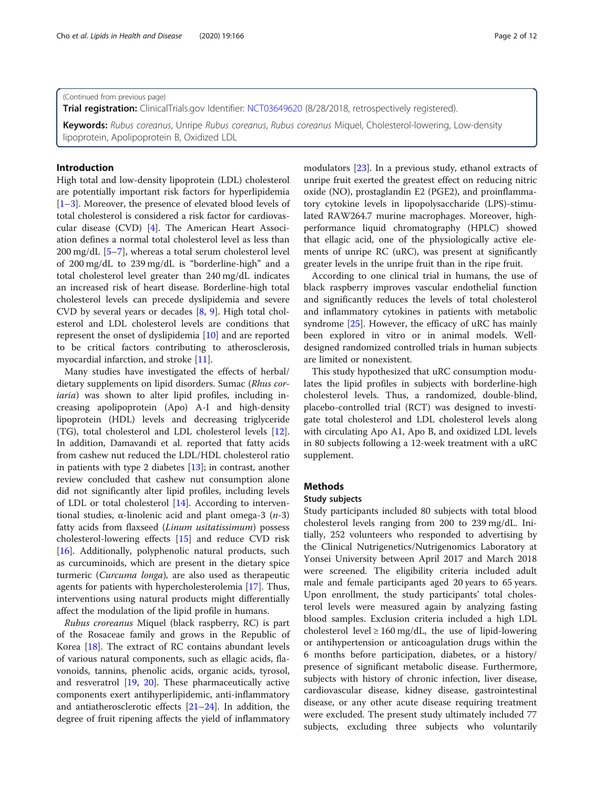(Continued from previous page)

Trial registration: ClinicalTrials.gov Identifier: [NCT03649620](https://clinicaltrials.gov/ct2/show/NCT03649620) (8/28/2018, retrospectively registered).

Keywords: Rubus coreanus, Unripe Rubus coreanus, Rubus coreanus Miquel, Cholesterol-lowering, Low-density lipoprotein, Apolipoprotein B, Oxidized LDL

# Introduction

High total and low-density lipoprotein (LDL) cholesterol are potentially important risk factors for hyperlipidemia [[1](#page-9-0)–[3\]](#page-9-0). Moreover, the presence of elevated blood levels of total cholesterol is considered a risk factor for cardiovascular disease (CVD) [[4\]](#page-9-0). The American Heart Association defines a normal total cholesterol level as less than 200 mg/dL [[5](#page-9-0)–[7\]](#page-9-0), whereas a total serum cholesterol level of 200 mg/dL to 239 mg/dL is "borderline-high" and a total cholesterol level greater than 240 mg/dL indicates an increased risk of heart disease. Borderline-high total cholesterol levels can precede dyslipidemia and severe CVD by several years or decades [[8,](#page-9-0) [9](#page-9-0)]. High total cholesterol and LDL cholesterol levels are conditions that represent the onset of dyslipidemia [\[10](#page-9-0)] and are reported to be critical factors contributing to atherosclerosis, myocardial infarction, and stroke [\[11](#page-9-0)].

Many studies have investigated the effects of herbal/ dietary supplements on lipid disorders. Sumac (Rhus coriaria) was shown to alter lipid profiles, including increasing apolipoprotein (Apo) A-I and high-density lipoprotein (HDL) levels and decreasing triglyceride (TG), total cholesterol and LDL cholesterol levels [\[12](#page-9-0)]. In addition, Damavandi et al. reported that fatty acids from cashew nut reduced the LDL/HDL cholesterol ratio in patients with type 2 diabetes  $[13]$  $[13]$ ; in contrast, another review concluded that cashew nut consumption alone did not significantly alter lipid profiles, including levels of LDL or total cholesterol [\[14](#page-9-0)]. According to interventional studies, α-linolenic acid and plant omega-3  $(n-3)$ fatty acids from flaxseed (Linum usitatissimum) possess cholesterol-lowering effects [\[15](#page-9-0)] and reduce CVD risk [[16\]](#page-9-0). Additionally, polyphenolic natural products, such as curcuminoids, which are present in the dietary spice turmeric (Curcuma longa), are also used as therapeutic agents for patients with hypercholesterolemia [\[17](#page-9-0)]. Thus, interventions using natural products might differentially affect the modulation of the lipid profile in humans.

Rubus croreanus Miquel (black raspberry, RC) is part of the Rosaceae family and grows in the Republic of Korea [[18\]](#page-9-0). The extract of RC contains abundant levels of various natural components, such as ellagic acids, flavonoids, tannins, phenolic acids, organic acids, tyrosol, and resveratrol [[19](#page-9-0), [20](#page-9-0)]. These pharmaceutically active components exert antihyperlipidemic, anti-inflammatory and antiatherosclerotic effects  $[21-24]$  $[21-24]$  $[21-24]$ . In addition, the degree of fruit ripening affects the yield of inflammatory

modulators [[23\]](#page-9-0). In a previous study, ethanol extracts of unripe fruit exerted the greatest effect on reducing nitric oxide (NO), prostaglandin E2 (PGE2), and proinflammatory cytokine levels in lipopolysaccharide (LPS)-stimulated RAW264.7 murine macrophages. Moreover, highperformance liquid chromatography (HPLC) showed that ellagic acid, one of the physiologically active elements of unripe RC (uRC), was present at significantly greater levels in the unripe fruit than in the ripe fruit.

According to one clinical trial in humans, the use of black raspberry improves vascular endothelial function and significantly reduces the levels of total cholesterol and inflammatory cytokines in patients with metabolic syndrome [\[25](#page-9-0)]. However, the efficacy of uRC has mainly been explored in vitro or in animal models. Welldesigned randomized controlled trials in human subjects are limited or nonexistent.

This study hypothesized that uRC consumption modulates the lipid profiles in subjects with borderline-high cholesterol levels. Thus, a randomized, double-blind, placebo-controlled trial (RCT) was designed to investigate total cholesterol and LDL cholesterol levels along with circulating Apo A1, Apo B, and oxidized LDL levels in 80 subjects following a 12-week treatment with a uRC supplement.

# **Methods**

# Study subjects

Study participants included 80 subjects with total blood cholesterol levels ranging from 200 to 239 mg/dL. Initially, 252 volunteers who responded to advertising by the Clinical Nutrigenetics/Nutrigenomics Laboratory at Yonsei University between April 2017 and March 2018 were screened. The eligibility criteria included adult male and female participants aged 20 years to 65 years. Upon enrollment, the study participants' total cholesterol levels were measured again by analyzing fasting blood samples. Exclusion criteria included a high LDL cholesterol level  $\geq 160$  mg/dL, the use of lipid-lowering or antihypertension or anticoagulation drugs within the 6 months before participation, diabetes, or a history/ presence of significant metabolic disease. Furthermore, subjects with history of chronic infection, liver disease, cardiovascular disease, kidney disease, gastrointestinal disease, or any other acute disease requiring treatment were excluded. The present study ultimately included 77 subjects, excluding three subjects who voluntarily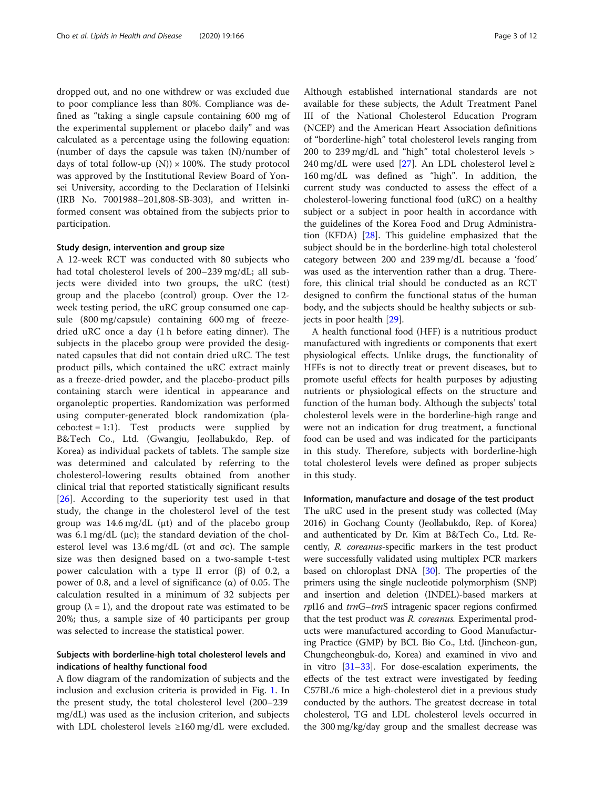dropped out, and no one withdrew or was excluded due to poor compliance less than 80%. Compliance was defined as "taking a single capsule containing 600 mg of the experimental supplement or placebo daily" and was calculated as a percentage using the following equation: (number of days the capsule was taken (N)/number of days of total follow-up  $(N)$ ) × 100%. The study protocol was approved by the Institutional Review Board of Yonsei University, according to the Declaration of Helsinki (IRB No. 7001988–201,808-SB-303), and written informed consent was obtained from the subjects prior to participation.

# Study design, intervention and group size

A 12-week RCT was conducted with 80 subjects who had total cholesterol levels of 200–239 mg/dL; all subjects were divided into two groups, the uRC (test) group and the placebo (control) group. Over the 12 week testing period, the uRC group consumed one capsule (800 mg/capsule) containing 600 mg of freezedried uRC once a day (1 h before eating dinner). The subjects in the placebo group were provided the designated capsules that did not contain dried uRC. The test product pills, which contained the uRC extract mainly as a freeze-dried powder, and the placebo-product pills containing starch were identical in appearance and organoleptic properties. Randomization was performed using computer-generated block randomization (pla $cebo: test = 1:1$ ). Test products were supplied by B&Tech Co., Ltd. (Gwangju, Jeollabukdo, Rep. of Korea) as individual packets of tablets. The sample size was determined and calculated by referring to the cholesterol-lowering results obtained from another clinical trial that reported statistically significant results [[26\]](#page-9-0). According to the superiority test used in that study, the change in the cholesterol level of the test group was  $14.6 \text{ mg/dL}$  ( $\mu$ t) and of the placebo group was 6.1 mg/dL ( $\mu$ c); the standard deviation of the cholesterol level was 13.6 mg/dL (σt and σc). The sample size was then designed based on a two-sample t-test power calculation with a type II error  $(β)$  of 0.2, a power of 0.8, and a level of significance (α) of 0.05. The calculation resulted in a minimum of 32 subjects per group ( $\lambda = 1$ ), and the dropout rate was estimated to be 20%; thus, a sample size of 40 participants per group was selected to increase the statistical power.

# Subjects with borderline-high total cholesterol levels and indications of healthy functional food

A flow diagram of the randomization of subjects and the inclusion and exclusion criteria is provided in Fig. [1.](#page-3-0) In the present study, the total cholesterol level (200–239 mg/dL) was used as the inclusion criterion, and subjects with LDL cholesterol levels ≥160 mg/dL were excluded. Although established international standards are not available for these subjects, the Adult Treatment Panel III of the National Cholesterol Education Program (NCEP) and the American Heart Association definitions of "borderline-high" total cholesterol levels ranging from 200 to 239 mg/dL and "high" total cholesterol levels > 240 mg/dL were used [\[27\]](#page-9-0). An LDL cholesterol level  $\ge$ 160 mg/dL was defined as "high". In addition, the current study was conducted to assess the effect of a cholesterol-lowering functional food (uRC) on a healthy subject or a subject in poor health in accordance with the guidelines of the Korea Food and Drug Administration (KFDA) [\[28](#page-10-0)]. This guideline emphasized that the subject should be in the borderline-high total cholesterol category between 200 and 239 mg/dL because a 'food' was used as the intervention rather than a drug. Therefore, this clinical trial should be conducted as an RCT designed to confirm the functional status of the human body, and the subjects should be healthy subjects or subjects in poor health [\[29\]](#page-10-0).

A health functional food (HFF) is a nutritious product manufactured with ingredients or components that exert physiological effects. Unlike drugs, the functionality of HFFs is not to directly treat or prevent diseases, but to promote useful effects for health purposes by adjusting nutrients or physiological effects on the structure and function of the human body. Although the subjects' total cholesterol levels were in the borderline-high range and were not an indication for drug treatment, a functional food can be used and was indicated for the participants in this study. Therefore, subjects with borderline-high total cholesterol levels were defined as proper subjects in this study.

Information, manufacture and dosage of the test product The uRC used in the present study was collected (May 2016) in Gochang County (Jeollabukdo, Rep. of Korea) and authenticated by Dr. Kim at B&Tech Co., Ltd. Recently, R. coreanus-specific markers in the test product were successfully validated using multiplex PCR markers based on chloroplast DNA [[30](#page-10-0)]. The properties of the primers using the single nucleotide polymorphism (SNP) and insertion and deletion (INDEL)-based markers at rpl16 and trnG–trnS intragenic spacer regions confirmed that the test product was R. coreanus. Experimental products were manufactured according to Good Manufacturing Practice (GMP) by BCL Bio Co., Ltd. (Jincheon-gun, Chungcheongbuk-do, Korea) and examined in vivo and in vitro  $[31-33]$  $[31-33]$  $[31-33]$  $[31-33]$ . For dose-escalation experiments, the effects of the test extract were investigated by feeding C57BL/6 mice a high-cholesterol diet in a previous study conducted by the authors. The greatest decrease in total cholesterol, TG and LDL cholesterol levels occurred in the 300 mg/kg/day group and the smallest decrease was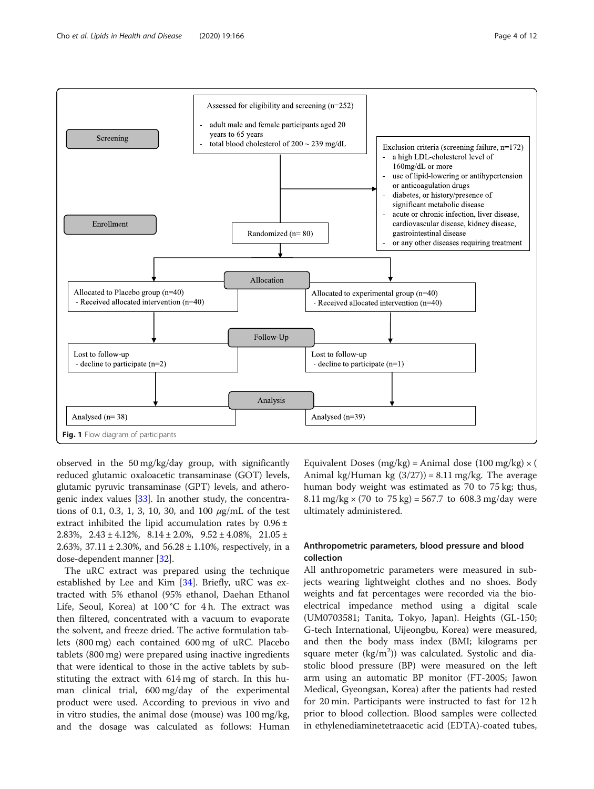<span id="page-3-0"></span>

observed in the 50 mg/kg/day group, with significantly reduced glutamic oxaloacetic transaminase (GOT) levels, glutamic pyruvic transaminase (GPT) levels, and atherogenic index values [\[33](#page-10-0)]. In another study, the concentrations of 0.1, 0.3, 1, 3, 10, 30, and 100  $\mu$ g/mL of the test extract inhibited the lipid accumulation rates by  $0.96 \pm$ 2.83%,  $2.43 \pm 4.12$ %,  $8.14 \pm 2.0$ %,  $9.52 \pm 4.08$ %,  $21.05 \pm 1.05$ 2.63%,  $37.11 \pm 2.30$ %, and  $56.28 \pm 1.10$ %, respectively, in a dose-dependent manner [[32](#page-10-0)].

The uRC extract was prepared using the technique established by Lee and Kim [\[34\]](#page-10-0). Briefly, uRC was extracted with 5% ethanol (95% ethanol, Daehan Ethanol Life, Seoul, Korea) at  $100^{\circ}$ C for 4 h. The extract was then filtered, concentrated with a vacuum to evaporate the solvent, and freeze dried. The active formulation tablets (800 mg) each contained 600 mg of uRC. Placebo tablets (800 mg) were prepared using inactive ingredients that were identical to those in the active tablets by substituting the extract with 614 mg of starch. In this human clinical trial, 600 mg/day of the experimental product were used. According to previous in vivo and in vitro studies, the animal dose (mouse) was 100 mg/kg, and the dosage was calculated as follows: Human

Equivalent Doses (mg/kg) = Animal dose (100 mg/kg)  $\times$  ( Animal kg/Human kg  $(3/27)$  = 8.11 mg/kg. The average human body weight was estimated as 70 to 75 kg; thus, 8.11 mg/kg  $\times$  (70 to 75 kg) = 567.7 to 608.3 mg/day were ultimately administered.

# Anthropometric parameters, blood pressure and blood collection

All anthropometric parameters were measured in subjects wearing lightweight clothes and no shoes. Body weights and fat percentages were recorded via the bioelectrical impedance method using a digital scale (UM0703581; Tanita, Tokyo, Japan). Heights (GL-150; G-tech International, Uijeongbu, Korea) were measured, and then the body mass index (BMI; kilograms per square meter  $(kg/m^2)$ ) was calculated. Systolic and diastolic blood pressure (BP) were measured on the left arm using an automatic BP monitor (FT-200S; Jawon Medical, Gyeongsan, Korea) after the patients had rested for 20 min. Participants were instructed to fast for 12 h prior to blood collection. Blood samples were collected in ethylenediaminetetraacetic acid (EDTA)-coated tubes,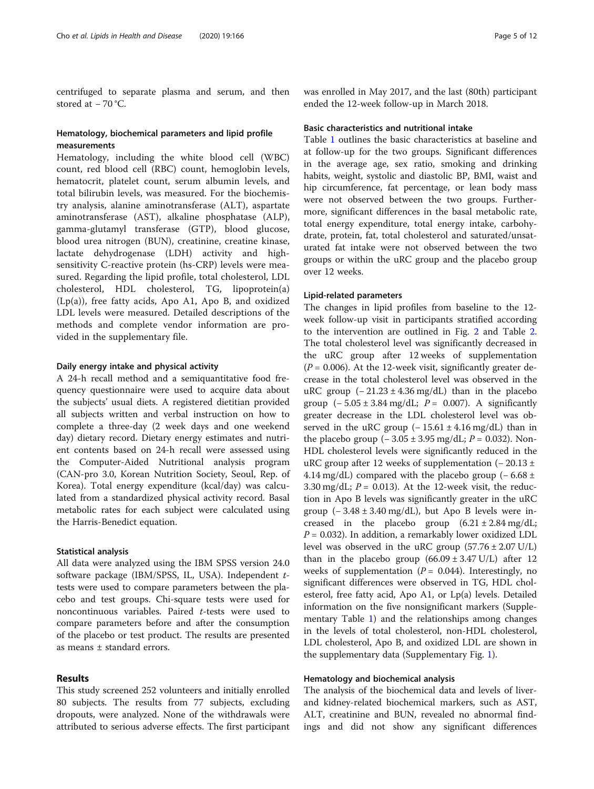centrifuged to separate plasma and serum, and then stored at − 70 °C.

# Hematology, biochemical parameters and lipid profile measurements

Hematology, including the white blood cell (WBC) count, red blood cell (RBC) count, hemoglobin levels, hematocrit, platelet count, serum albumin levels, and total bilirubin levels, was measured. For the biochemistry analysis, alanine aminotransferase (ALT), aspartate aminotransferase (AST), alkaline phosphatase (ALP), gamma-glutamyl transferase (GTP), blood glucose, blood urea nitrogen (BUN), creatinine, creatine kinase, lactate dehydrogenase (LDH) activity and highsensitivity C-reactive protein (hs-CRP) levels were measured. Regarding the lipid profile, total cholesterol, LDL cholesterol, HDL cholesterol, TG, lipoprotein(a) (Lp(a)), free fatty acids, Apo A1, Apo B, and oxidized LDL levels were measured. Detailed descriptions of the methods and complete vendor information are provided in the supplementary file.

# Daily energy intake and physical activity

A 24-h recall method and a semiquantitative food frequency questionnaire were used to acquire data about the subjects' usual diets. A registered dietitian provided all subjects written and verbal instruction on how to complete a three-day (2 week days and one weekend day) dietary record. Dietary energy estimates and nutrient contents based on 24-h recall were assessed using the Computer-Aided Nutritional analysis program (CAN-pro 3.0, Korean Nutrition Society, Seoul, Rep. of Korea). Total energy expenditure (kcal/day) was calculated from a standardized physical activity record. Basal metabolic rates for each subject were calculated using the Harris-Benedict equation.

#### Statistical analysis

All data were analyzed using the IBM SPSS version 24.0 software package (IBM/SPSS, IL, USA). Independent ttests were used to compare parameters between the placebo and test groups. Chi-square tests were used for noncontinuous variables. Paired t-tests were used to compare parameters before and after the consumption of the placebo or test product. The results are presented as means ± standard errors.

# Results

This study screened 252 volunteers and initially enrolled 80 subjects. The results from 77 subjects, excluding dropouts, were analyzed. None of the withdrawals were attributed to serious adverse effects. The first participant was enrolled in May 2017, and the last (80th) participant ended the 12-week follow-up in March 2018.

#### Basic characteristics and nutritional intake

Table [1](#page-5-0) outlines the basic characteristics at baseline and at follow-up for the two groups. Significant differences in the average age, sex ratio, smoking and drinking habits, weight, systolic and diastolic BP, BMI, waist and hip circumference, fat percentage, or lean body mass were not observed between the two groups. Furthermore, significant differences in the basal metabolic rate, total energy expenditure, total energy intake, carbohydrate, protein, fat, total cholesterol and saturated/unsaturated fat intake were not observed between the two groups or within the uRC group and the placebo group over 12 weeks.

# Lipid-related parameters

The changes in lipid profiles from baseline to the 12 week follow-up visit in participants stratified according to the intervention are outlined in Fig. [2](#page-5-0) and Table [2](#page-6-0). The total cholesterol level was significantly decreased in the uRC group after 12 weeks of supplementation  $(P = 0.006)$ . At the 12-week visit, significantly greater decrease in the total cholesterol level was observed in the uRC group  $(-21.23 \pm 4.36 \text{ mg/dL})$  than in the placebo group  $(-5.05 \pm 3.84 \text{ mg/dL}; P = 0.007)$ . A significantly greater decrease in the LDL cholesterol level was observed in the uRC group  $(-15.61 \pm 4.16 \text{ mg/dL})$  than in the placebo group  $(-3.05 \pm 3.95 \text{ mg/dL}; P = 0.032)$ . Non-HDL cholesterol levels were significantly reduced in the uRC group after 12 weeks of supplementation  $(-20.13 \pm 1)$ 4.14 mg/dL) compared with the placebo group (– 6.68 ± 3.30 mg/dL;  $P = 0.013$ ). At the 12-week visit, the reduction in Apo B levels was significantly greater in the uRC group  $(-3.48 \pm 3.40 \text{ mg/dL})$ , but Apo B levels were increased in the placebo group  $(6.21 \pm 2.84 \text{ mg/dL})$ ;  $P = 0.032$ ). In addition, a remarkably lower oxidized LDL level was observed in the uRC group  $(57.76 \pm 2.07 \text{ U/L})$ than in the placebo group  $(66.09 \pm 3.47 \text{ U/L})$  after 12 weeks of supplementation ( $P = 0.044$ ). Interestingly, no significant differences were observed in TG, HDL cholesterol, free fatty acid, Apo A1, or Lp(a) levels. Detailed information on the five nonsignificant markers (Supplementary Table [1\)](#page-8-0) and the relationships among changes in the levels of total cholesterol, non-HDL cholesterol, LDL cholesterol, Apo B, and oxidized LDL are shown in the supplementary data (Supplementary Fig. [1\)](#page-8-0).

# Hematology and biochemical analysis

The analysis of the biochemical data and levels of liverand kidney-related biochemical markers, such as AST, ALT, creatinine and BUN, revealed no abnormal findings and did not show any significant differences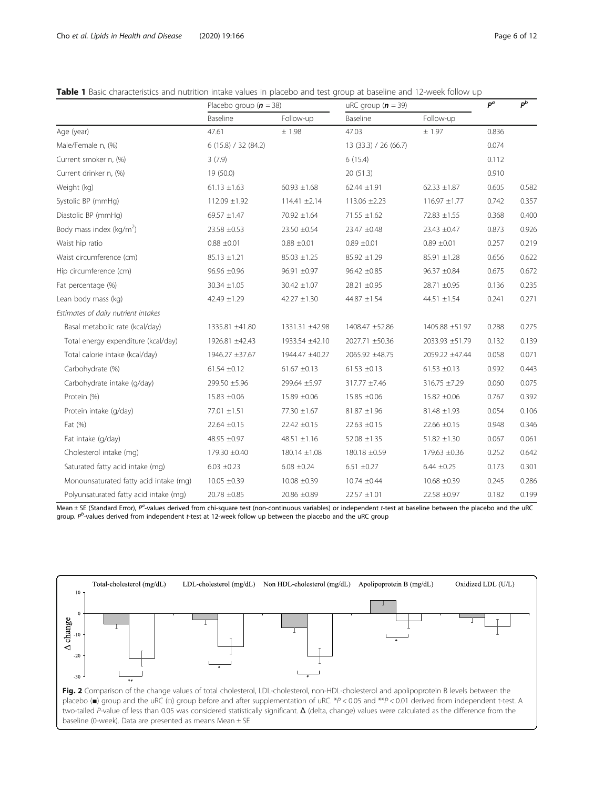<span id="page-5-0"></span>

|                                        | Placebo group $(n = 38)$           |                   | uRC group $(n = 39)$                 | $P^a$             | $p^b$ |       |
|----------------------------------------|------------------------------------|-------------------|--------------------------------------|-------------------|-------|-------|
|                                        | Baseline                           | Follow-up         | Baseline                             | Follow-up         |       |       |
| Age (year)                             | 47.61                              | ±1.98             | 47.03                                | ± 1.97            | 0.836 |       |
| Male/Female n, (%)                     | 6 (15.8) / 32 (84.2)               |                   | 13 (33.3) / 26 (66.7)                |                   | 0.074 |       |
| Current smoker n, (%)                  | 3(7.9)                             |                   | 6(15.4)                              |                   | 0.112 |       |
| Current drinker n, (%)                 | 19 (50.0)                          |                   | 20(51.3)                             |                   | 0.910 |       |
| Weight (kg)                            | $61.13 \pm 1.63$                   | $60.93 \pm 1.68$  | $62.44 \pm 1.91$                     | $62.33 \pm 1.87$  | 0.605 | 0.582 |
| Systolic BP (mmHg)                     | $112.09 \pm 1.92$                  | $114.41 \pm 2.14$ | $113.06 \pm 2.23$                    | $116.97 \pm 1.77$ | 0.742 | 0.357 |
| Diastolic BP (mmHg)                    | 69.57 ±1.47                        | 70.92 ±1.64       | 71.55 ±1.62                          | 72.83 ±1.55       | 0.368 | 0.400 |
| Body mass index ( $kg/m2$ )            | 23.58 ±0.53                        | 23.50 ±0.54       | 23.47 ±0.48                          | 23.43 ±0.47       | 0.873 | 0.926 |
| Waist hip ratio                        | $0.88 \pm 0.01$<br>$0.88 \pm 0.01$ |                   | $0.89 \pm 0.01$                      | $0.89 \pm 0.01$   | 0.257 | 0.219 |
| Waist circumference (cm)               | $85.13 \pm 1.21$                   | $85.03 \pm 1.25$  | 85.92 ±1.29                          | 85.91 ±1.28       | 0.656 | 0.622 |
| Hip circumference (cm)                 | 96.96 ±0.96                        | 96.91 ±0.97       | $96.42 \pm 0.85$                     | 96.37 ±0.84       | 0.675 | 0.672 |
| Fat percentage (%)                     | 30.34 ±1.05                        | $30.42 \pm 1.07$  | 28.21 ±0.95                          | 28.71 ±0.95       | 0.136 | 0.235 |
| Lean body mass (kg)                    | 42.49 ±1.29                        | $42.27 \pm 1.30$  | 44.87 ±1.54                          | 44.51 ±1.54       | 0.241 | 0.271 |
| Estimates of daily nutrient intakes    |                                    |                   |                                      |                   |       |       |
| Basal metabolic rate (kcal/day)        | 1335.81 ±41.80                     | 1331.31 ±42.98    | 1408.47 ±52.86                       | 1405.88 ±51.97    | 0.288 | 0.275 |
| Total energy expenditure (kcal/day)    | 1926.81 ±42.43                     | 1933.54 ±42.10    | 2027.71 ±50.36                       | 2033.93 ±51.79    | 0.132 | 0.139 |
| Total calorie intake (kcal/day)        | 1946.27 ±37.67                     | 1944.47 ±40.27    | 2065.92 ±48.75<br>2059.22 ±47.44     |                   | 0.058 | 0.071 |
| Carbohydrate (%)                       | $61.54 \pm 0.12$                   | $61.67 \pm 0.13$  | $61.53 \pm 0.13$<br>$61.53 \pm 0.13$ |                   | 0.992 | 0.443 |
| Carbohydrate intake (g/day)            | 299.50 ±5.96                       | 299.64 ±5.97      | 317.77 ±7.46                         | 316.75 ±7.29      | 0.060 | 0.075 |
| Protein (%)                            | 15.83 ±0.06                        | 15.89 ±0.06       | 15.85 ±0.06                          | 15.82 ±0.06       | 0.767 | 0.392 |
| Protein intake (g/day)                 | 77.01 ±1.51                        | 77.30 ±1.67       | $81.87 \pm 1.96$                     | $81.48 \pm 1.93$  | 0.054 | 0.106 |
| Fat (%)                                | 22.64 ±0.15                        | 22.42 ±0.15       | $22.63 \pm 0.15$                     | $22.66 \pm 0.15$  | 0.948 | 0.346 |
| Fat intake (g/day)                     | 48.95 ±0.97                        | $48.51 \pm 1.16$  | $52.08 \pm 1.35$                     | $51.82 \pm 1.30$  | 0.067 | 0.061 |
| Cholesterol intake (mg)                | 179.30 ±0.40                       | $180.14 \pm 1.08$ | 180.18 ±0.59                         | 179.63 ±0.36      | 0.252 | 0.642 |
| Saturated fatty acid intake (mg)       | $6.03 \pm 0.23$                    | $6.08 \pm 0.24$   | $6.51 \pm 0.27$                      | $6.44 \pm 0.25$   | 0.173 | 0.301 |
| Monounsaturated fatty acid intake (mq) | $10.05 \pm 0.39$                   | $10.08 \pm 0.39$  | $10.74 \pm 0.44$                     | $10.68 \pm 0.39$  | 0.245 | 0.286 |
| Polyunsaturated fatty acid intake (mq) | 20.78 ±0.85                        | 20.86 ±0.89       | $22.57 \pm 1.01$                     | 22.58 ±0.97       | 0.182 | 0.199 |

Mean ± SE (Standard Error), P<sup>a</sup>-values derived from chi-square test (non-continuous variables) or independent t-test at baseline between the placebo and the uRC group. P<sup>b</sup>-values derived from independent t-test at 12-week follow up between the placebo and the uRC group

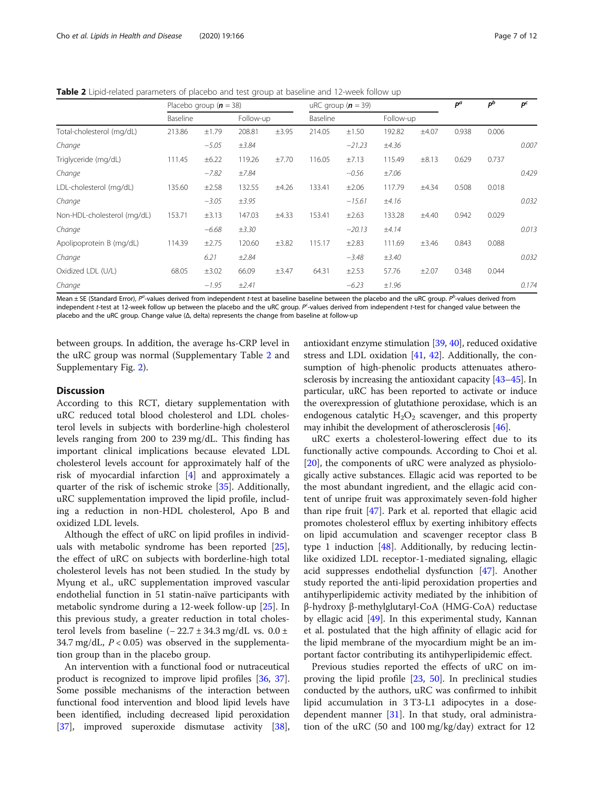<span id="page-6-0"></span>Table 2 Lipid-related parameters of placebo and test group at baseline and 12-week follow up

|                             | Placebo group ( $n = 38$ ) |            |           | uRC group ( $n = 39$ ) |          |          | $P^a$      | $P^b$      | $P^{c}$ |       |       |
|-----------------------------|----------------------------|------------|-----------|------------------------|----------|----------|------------|------------|---------|-------|-------|
|                             | Baseline                   |            | Follow-up |                        | Baseline |          | Follow-up  |            |         |       |       |
| Total-cholesterol (mg/dL)   | 213.86                     | ±1.79      | 208.81    | ±3.95                  | 214.05   | ±1.50    | 192.82     | ±4.07      | 0.938   | 0.006 |       |
| Change                      |                            | $-5.05$    | ±3.84     |                        |          | $-21.23$ | ±4.36      |            |         |       | 0.007 |
| Triglyceride (mg/dL)        | 111.45                     | $\pm 6.22$ | 119.26    | ±7.70                  | 116.05   | ±7.13    | 115.49     | $\pm 8.13$ | 0.629   | 0.737 |       |
| Change                      |                            | $-7.82$    | ±7.84     |                        |          | $-0.56$  | $\pm$ 7.06 |            |         |       | 0.429 |
| LDL-cholesterol (mg/dL)     | 135.60                     | ±2.58      | 132.55    | ±4.26                  | 133.41   | ±2.06    | 117.79     | ±4.34      | 0.508   | 0.018 |       |
| Change                      |                            | $-3.05$    | ±3.95     |                        |          | $-15.61$ | ±4.16      |            |         |       | 0.032 |
| Non-HDL-cholesterol (mg/dL) | 153.71                     | $\pm 3.13$ | 147.03    | ±4.33                  | 153.41   | ±2.63    | 133.28     | ±4.40      | 0.942   | 0.029 |       |
| Change                      |                            | $-6.68$    | ±3.30     |                        |          | $-20.13$ | ±4.14      |            |         |       | 0.013 |
| Apolipoprotein B (mg/dL)    | 114.39                     | ±2.75      | 120.60    | ±3.82                  | 115.17   | ±2.83    | 111.69     | $\pm 3.46$ | 0.843   | 0.088 |       |
| Change                      |                            | 6.21       | ±2.84     |                        |          | $-3.48$  | $\pm$ 3.40 |            |         |       | 0.032 |
| Oxidized LDL (U/L)          | 68.05                      | $\pm 3.02$ | 66.09     | ±3.47                  | 64.31    | ±2.53    | 57.76      | ±2.07      | 0.348   | 0.044 |       |
| Change                      |                            | $-1.95$    | ±2.41     |                        |          | $-6.23$  | ±1.96      |            |         |       | 0.174 |

Mean ± SE (Standard Error), P<sup>a</sup>-values derived from independent t-test at baseline baseline between the placebo and the uRC group. P<sup>b</sup>-values derived from independent t-test at 12-week follow up between the placebo and the uRC group. P<sup>c</sup>-values derived from independent t-test for changed value between the placebo and the uRC group. Change value (Δ, delta) represents the change from baseline at follow-up

between groups. In addition, the average hs-CRP level in the uRC group was normal (Supplementary Table [2](#page-8-0) and Supplementary Fig. [2](#page-8-0)).

# **Discussion**

According to this RCT, dietary supplementation with uRC reduced total blood cholesterol and LDL cholesterol levels in subjects with borderline-high cholesterol levels ranging from 200 to 239 mg/dL. This finding has important clinical implications because elevated LDL cholesterol levels account for approximately half of the risk of myocardial infarction [[4\]](#page-9-0) and approximately a quarter of the risk of ischemic stroke [[35](#page-10-0)]. Additionally, uRC supplementation improved the lipid profile, including a reduction in non-HDL cholesterol, Apo B and oxidized LDL levels.

Although the effect of uRC on lipid profiles in individuals with metabolic syndrome has been reported [\[25](#page-9-0)], the effect of uRC on subjects with borderline-high total cholesterol levels has not been studied. In the study by Myung et al., uRC supplementation improved vascular endothelial function in 51 statin-naïve participants with metabolic syndrome during a 12-week follow-up [[25](#page-9-0)]. In this previous study, a greater reduction in total cholesterol levels from baseline  $(-22.7 \pm 34.3 \text{ mg/dL} \text{ vs. } 0.0 \pm 1.0 \text{ m})$ 34.7 mg/dL,  $P < 0.05$ ) was observed in the supplementation group than in the placebo group.

An intervention with a functional food or nutraceutical product is recognized to improve lipid profiles [[36](#page-10-0), [37](#page-10-0)]. Some possible mechanisms of the interaction between functional food intervention and blood lipid levels have been identified, including decreased lipid peroxidation [[37](#page-10-0)], improved superoxide dismutase activity [[38](#page-10-0)],

antioxidant enzyme stimulation [\[39](#page-10-0), [40](#page-10-0)], reduced oxidative stress and LDL oxidation [\[41,](#page-10-0) [42](#page-10-0)]. Additionally, the consumption of high-phenolic products attenuates atherosclerosis by increasing the antioxidant capacity [\[43](#page-10-0)–[45](#page-10-0)]. In particular, uRC has been reported to activate or induce the overexpression of glutathione peroxidase, which is an endogenous catalytic  $H_2O_2$  scavenger, and this property may inhibit the development of atherosclerosis [\[46\]](#page-10-0).

uRC exerts a cholesterol-lowering effect due to its functionally active compounds. According to Choi et al. [[20\]](#page-9-0), the components of uRC were analyzed as physiologically active substances. Ellagic acid was reported to be the most abundant ingredient, and the ellagic acid content of unripe fruit was approximately seven-fold higher than ripe fruit [\[47](#page-10-0)]. Park et al. reported that ellagic acid promotes cholesterol efflux by exerting inhibitory effects on lipid accumulation and scavenger receptor class B type 1 induction  $[48]$  $[48]$ . Additionally, by reducing lectinlike oxidized LDL receptor-1-mediated signaling, ellagic acid suppresses endothelial dysfunction [[47](#page-10-0)]. Another study reported the anti-lipid peroxidation properties and antihyperlipidemic activity mediated by the inhibition of β-hydroxy β-methylglutaryl-CoA (HMG-CoA) reductase by ellagic acid [\[49](#page-10-0)]. In this experimental study, Kannan et al. postulated that the high affinity of ellagic acid for the lipid membrane of the myocardium might be an important factor contributing its antihyperlipidemic effect.

Previous studies reported the effects of uRC on improving the lipid profile [\[23](#page-9-0), [50\]](#page-10-0). In preclinical studies conducted by the authors, uRC was confirmed to inhibit lipid accumulation in 3 T3-L1 adipocytes in a dosedependent manner  $[31]$  $[31]$ . In that study, oral administration of the uRC (50 and 100 mg/kg/day) extract for 12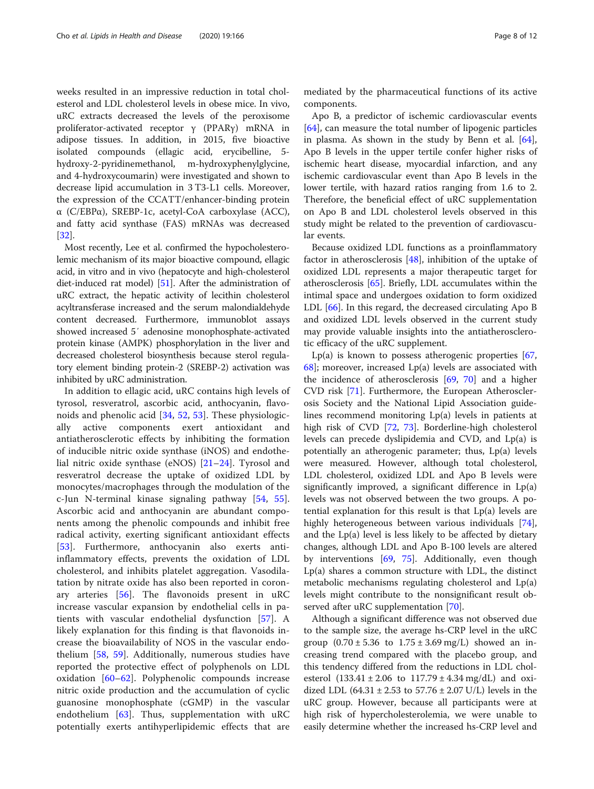weeks resulted in an impressive reduction in total cholesterol and LDL cholesterol levels in obese mice. In vivo, uRC extracts decreased the levels of the peroxisome proliferator-activated receptor  $γ$  (PPARγ) mRNA in adipose tissues. In addition, in 2015, five bioactive isolated compounds (ellagic acid, erycibelline, 5 hydroxy-2-pyridinemethanol, m-hydroxyphenylglycine, and 4-hydroxycoumarin) were investigated and shown to decrease lipid accumulation in 3 T3-L1 cells. Moreover, the expression of the CCATT/enhancer-binding protein α (C/EBPα), SREBP-1c, acetyl-CoA carboxylase (ACC), and fatty acid synthase (FAS) mRNAs was decreased [[32\]](#page-10-0).

Most recently, Lee et al. confirmed the hypocholesterolemic mechanism of its major bioactive compound, ellagic acid, in vitro and in vivo (hepatocyte and high-cholesterol diet-induced rat model) [[51](#page-10-0)]. After the administration of uRC extract, the hepatic activity of lecithin cholesterol acyltransferase increased and the serum malondialdehyde content decreased. Furthermore, immunoblot assays showed increased 5′ adenosine monophosphate-activated protein kinase (AMPK) phosphorylation in the liver and decreased cholesterol biosynthesis because sterol regulatory element binding protein-2 (SREBP-2) activation was inhibited by uRC administration.

In addition to ellagic acid, uRC contains high levels of tyrosol, resveratrol, ascorbic acid, anthocyanin, flavonoids and phenolic acid [[34,](#page-10-0) [52](#page-10-0), [53\]](#page-10-0). These physiologically active components exert antioxidant and antiatherosclerotic effects by inhibiting the formation of inducible nitric oxide synthase (iNOS) and endothelial nitric oxide synthase (eNOS) [[21](#page-9-0)–[24](#page-9-0)]. Tyrosol and resveratrol decrease the uptake of oxidized LDL by monocytes/macrophages through the modulation of the c-Jun N-terminal kinase signaling pathway [[54,](#page-10-0) [55](#page-10-0)]. Ascorbic acid and anthocyanin are abundant components among the phenolic compounds and inhibit free radical activity, exerting significant antioxidant effects [[53\]](#page-10-0). Furthermore, anthocyanin also exerts antiinflammatory effects, prevents the oxidation of LDL cholesterol, and inhibits platelet aggregation. Vasodilatation by nitrate oxide has also been reported in coronary arteries [\[56](#page-10-0)]. The flavonoids present in uRC increase vascular expansion by endothelial cells in patients with vascular endothelial dysfunction [[57\]](#page-10-0). A likely explanation for this finding is that flavonoids increase the bioavailability of NOS in the vascular endothelium [[58,](#page-10-0) [59\]](#page-10-0). Additionally, numerous studies have reported the protective effect of polyphenols on LDL oxidation [\[60](#page-10-0)–[62](#page-10-0)]. Polyphenolic compounds increase nitric oxide production and the accumulation of cyclic guanosine monophosphate (cGMP) in the vascular endothelium [\[63](#page-10-0)]. Thus, supplementation with uRC potentially exerts antihyperlipidemic effects that are

mediated by the pharmaceutical functions of its active components.

Apo B, a predictor of ischemic cardiovascular events [[64\]](#page-10-0), can measure the total number of lipogenic particles in plasma. As shown in the study by Benn et al. [\[64](#page-10-0)], Apo B levels in the upper tertile confer higher risks of ischemic heart disease, myocardial infarction, and any ischemic cardiovascular event than Apo B levels in the lower tertile, with hazard ratios ranging from 1.6 to 2. Therefore, the beneficial effect of uRC supplementation on Apo B and LDL cholesterol levels observed in this study might be related to the prevention of cardiovascular events.

Because oxidized LDL functions as a proinflammatory factor in atherosclerosis [\[48\]](#page-10-0), inhibition of the uptake of oxidized LDL represents a major therapeutic target for atherosclerosis [\[65](#page-10-0)]. Briefly, LDL accumulates within the intimal space and undergoes oxidation to form oxidized LDL [\[66\]](#page-10-0). In this regard, the decreased circulating Apo B and oxidized LDL levels observed in the current study may provide valuable insights into the antiatherosclerotic efficacy of the uRC supplement.

Lp(a) is known to possess atherogenic properties  $[67, 67]$  $[67, 67]$  $[67, 67]$  $68$ ; moreover, increased Lp(a) levels are associated with the incidence of atherosclerosis [[69,](#page-10-0) [70\]](#page-11-0) and a higher CVD risk [[71\]](#page-11-0). Furthermore, the European Atherosclerosis Society and the National Lipid Association guidelines recommend monitoring Lp(a) levels in patients at high risk of CVD [\[72](#page-11-0), [73\]](#page-11-0). Borderline-high cholesterol levels can precede dyslipidemia and CVD, and Lp(a) is potentially an atherogenic parameter; thus, Lp(a) levels were measured. However, although total cholesterol, LDL cholesterol, oxidized LDL and Apo B levels were significantly improved, a significant difference in  $Lp(a)$ levels was not observed between the two groups. A potential explanation for this result is that Lp(a) levels are highly heterogeneous between various individuals [\[74](#page-11-0)], and the Lp(a) level is less likely to be affected by dietary changes, although LDL and Apo B-100 levels are altered by interventions [\[69](#page-10-0), [75](#page-11-0)]. Additionally, even though Lp(a) shares a common structure with LDL, the distinct metabolic mechanisms regulating cholesterol and Lp(a) levels might contribute to the nonsignificant result observed after uRC supplementation [\[70](#page-11-0)].

Although a significant difference was not observed due to the sample size, the average hs-CRP level in the uRC group  $(0.70 \pm 5.36 \text{ to } 1.75 \pm 3.69 \text{ mg/L})$  showed an increasing trend compared with the placebo group, and this tendency differed from the reductions in LDL cholesterol (133.41 ± 2.06 to 117.79 ± 4.34 mg/dL) and oxidized LDL  $(64.31 \pm 2.53 \text{ to } 57.76 \pm 2.07 \text{ U/L})$  levels in the uRC group. However, because all participants were at high risk of hypercholesterolemia, we were unable to easily determine whether the increased hs-CRP level and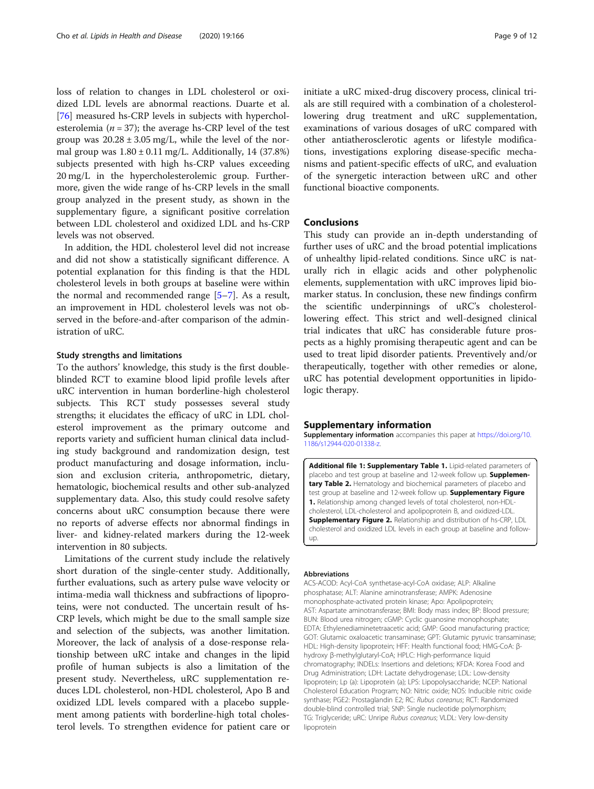<span id="page-8-0"></span>loss of relation to changes in LDL cholesterol or oxidized LDL levels are abnormal reactions. Duarte et al. [[76\]](#page-11-0) measured hs-CRP levels in subjects with hypercholesterolemia ( $n = 37$ ); the average hs-CRP level of the test group was  $20.28 \pm 3.05$  mg/L, while the level of the normal group was  $1.80 \pm 0.11$  mg/L. Additionally, 14 (37.8%) subjects presented with high hs-CRP values exceeding 20 mg/L in the hypercholesterolemic group. Furthermore, given the wide range of hs-CRP levels in the small group analyzed in the present study, as shown in the supplementary figure, a significant positive correlation between LDL cholesterol and oxidized LDL and hs-CRP levels was not observed.

In addition, the HDL cholesterol level did not increase and did not show a statistically significant difference. A potential explanation for this finding is that the HDL cholesterol levels in both groups at baseline were within the normal and recommended range [[5](#page-9-0)–[7](#page-9-0)]. As a result, an improvement in HDL cholesterol levels was not observed in the before-and-after comparison of the administration of uRC.

## Study strengths and limitations

To the authors' knowledge, this study is the first doubleblinded RCT to examine blood lipid profile levels after uRC intervention in human borderline-high cholesterol subjects. This RCT study possesses several study strengths; it elucidates the efficacy of uRC in LDL cholesterol improvement as the primary outcome and reports variety and sufficient human clinical data including study background and randomization design, test product manufacturing and dosage information, inclusion and exclusion criteria, anthropometric, dietary, hematologic, biochemical results and other sub-analyzed supplementary data. Also, this study could resolve safety concerns about uRC consumption because there were no reports of adverse effects nor abnormal findings in liver- and kidney-related markers during the 12-week intervention in 80 subjects.

Limitations of the current study include the relatively short duration of the single-center study. Additionally, further evaluations, such as artery pulse wave velocity or intima-media wall thickness and subfractions of lipoproteins, were not conducted. The uncertain result of hs-CRP levels, which might be due to the small sample size and selection of the subjects, was another limitation. Moreover, the lack of analysis of a dose-response relationship between uRC intake and changes in the lipid profile of human subjects is also a limitation of the present study. Nevertheless, uRC supplementation reduces LDL cholesterol, non-HDL cholesterol, Apo B and oxidized LDL levels compared with a placebo supplement among patients with borderline-high total cholesterol levels. To strengthen evidence for patient care or

initiate a uRC mixed-drug discovery process, clinical trials are still required with a combination of a cholesterollowering drug treatment and uRC supplementation, examinations of various dosages of uRC compared with other antiatherosclerotic agents or lifestyle modifications, investigations exploring disease-specific mechanisms and patient-specific effects of uRC, and evaluation of the synergetic interaction between uRC and other functional bioactive components.

# Conclusions

This study can provide an in-depth understanding of further uses of uRC and the broad potential implications of unhealthy lipid-related conditions. Since uRC is naturally rich in ellagic acids and other polyphenolic elements, supplementation with uRC improves lipid biomarker status. In conclusion, these new findings confirm the scientific underpinnings of uRC's cholesterollowering effect. This strict and well-designed clinical trial indicates that uRC has considerable future prospects as a highly promising therapeutic agent and can be used to treat lipid disorder patients. Preventively and/or therapeutically, together with other remedies or alone, uRC has potential development opportunities in lipidologic therapy.

#### Supplementary information

Supplementary information accompanies this paper at [https://doi.org/10.](https://doi.org/10.1186/s12944-020-01338-z) [1186/s12944-020-01338-z.](https://doi.org/10.1186/s12944-020-01338-z)

Additional file 1: Supplementary Table 1. Lipid-related parameters of placebo and test group at baseline and 12-week follow up. Supplementary Table 2. Hematology and biochemical parameters of placebo and test group at baseline and 12-week follow up. **Supplementary Figure** 1. Relationship among changed levels of total cholesterol, non-HDLcholesterol, LDL-cholesterol and apolipoprotein B, and oxidized-LDL. Supplementary Figure 2. Relationship and distribution of hs-CRP, LDL cholesterol and oxidized LDL levels in each group at baseline and followup.

#### Abbreviations

ACS-ACOD: Acyl-CoA synthetase-acyl-CoA oxidase; ALP: Alkaline phosphatase; ALT: Alanine aminotransferase; AMPK: Adenosine monophosphate-activated protein kinase; Apo: Apolipoprotein; AST: Aspartate aminotransferase; BMI: Body mass index; BP: Blood pressure; BUN: Blood urea nitrogen; cGMP: Cyclic guanosine monophosphate; EDTA: Ethylenediaminetetraacetic acid; GMP: Good manufacturing practice; GOT: Glutamic oxaloacetic transaminase; GPT: Glutamic pyruvic transaminase; HDL: High-density lipoprotein; HFF: Health functional food; HMG-CoA: βhydroxy β-methylglutaryl-CoA; HPLC: High-performance liquid chromatography; INDELs: Insertions and deletions; KFDA: Korea Food and Drug Administration; LDH: Lactate dehydrogenase; LDL: Low-density lipoprotein; Lp (a): Lipoprotein (a); LPS: Lipopolysaccharide; NCEP: National Cholesterol Education Program; NO: Nitric oxide; NOS: Inducible nitric oxide synthase; PGE2: Prostaglandin E2; RC: Rubus coreanus; RCT: Randomized double-blind controlled trial; SNP: Single nucleotide polymorphism; TG: Triglyceride; uRC: Unripe Rubus coreanus; VLDL: Very low-density lipoprotein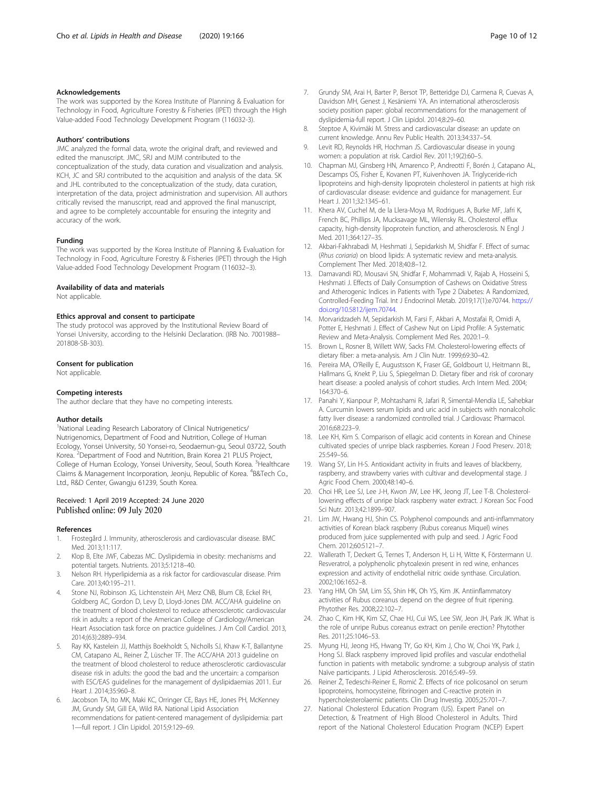# <span id="page-9-0"></span>Acknowledgements

The work was supported by the Korea Institute of Planning & Evaluation for Technology in Food, Agriculture Forestry & Fisheries (IPET) through the High Value-added Food Technology Development Program (116032-3).

# Authors' contributions

JMC analyzed the formal data, wrote the original draft, and reviewed and edited the manuscript. JMC, SRJ and MJM contributed to the conceptualization of the study, data curation and visualization and analysis. KCH, JC and SRJ contributed to the acquisition and analysis of the data. SK and JHL contributed to the conceptualization of the study, data curation, interpretation of the data, project administration and supervision. All authors critically revised the manuscript, read and approved the final manuscript, and agree to be completely accountable for ensuring the integrity and accuracy of the work.

# Funding

The work was supported by the Korea Institute of Planning & Evaluation for Technology in Food, Agriculture Forestry & Fisheries (IPET) through the High Value-added Food Technology Development Program (116032–3).

#### Availability of data and materials

Not applicable.

#### Ethics approval and consent to participate

The study protocol was approved by the Institutional Review Board of Yonsei University, according to the Helsinki Declaration. (IRB No. 7001988– 201808-SB-303).

#### Consent for publication

Not applicable.

#### Competing interests

The author declare that they have no competing interests.

#### Author details

<sup>1</sup>National Leading Research Laboratory of Clinical Nutrigenetics/ Nutrigenomics, Department of Food and Nutrition, College of Human Ecology, Yonsei University, 50 Yonsei-ro, Seodaemun-gu, Seoul 03722, South Korea. <sup>2</sup>Department of Food and Nutrition, Brain Korea 21 PLUS Project, College of Human Ecology, Yonsei University, Seoul, South Korea. <sup>3</sup> Healthcare Claims & Management Incorporation, Jeonju, Republic of Korea. <sup>4</sup>B&Tech Co., Ltd., R&D Center, Gwangju 61239, South Korea.

#### Received: 1 April 2019 Accepted: 24 June 2020 Published online: 09 July 2020

# References

- 1. Frostegård J. Immunity, atherosclerosis and cardiovascular disease. BMC Med. 2013;11:117.
- 2. Klop B, Elte JWF, Cabezas MC. Dyslipidemia in obesity: mechanisms and potential targets. Nutrients. 2013;5:1218–40.
- 3. Nelson RH. Hyperlipidemia as a risk factor for cardiovascular disease. Prim Care. 2013;40:195–211.
- Stone NJ, Robinson JG, Lichtenstein AH, Merz CNB, Blum CB, Eckel RH, Goldberg AC, Gordon D, Levy D, Lloyd-Jones DM. ACC/AHA guideline on the treatment of blood cholesterol to reduce atherosclerotic cardiovascular risk in adults: a report of the American College of Cardiology/American Heart Association task force on practice guidelines. J Am Coll Cardiol. 2013, 2014;(63):2889–934.
- Ray KK, Kastelein JJ, Matthijs Boekholdt S, Nicholls SJ, Khaw K-T, Ballantyne CM, Catapano AL, Reiner Ž, Lüscher TF. The ACC/AHA 2013 guideline on the treatment of blood cholesterol to reduce atherosclerotic cardiovascular disease risk in adults: the good the bad and the uncertain: a comparison with ESC/EAS guidelines for the management of dyslipidaemias 2011. Eur Heart J. 2014;35:960–8.
- Jacobson TA, Ito MK, Maki KC, Orringer CE, Bays HE, Jones PH, McKenney JM, Grundy SM, Gill EA, Wild RA. National Lipid Association recommendations for patient-centered management of dyslipidemia: part 1—full report. J Clin Lipidol. 2015;9:129–69.
- 7. Grundy SM, Arai H, Barter P, Bersot TP, Betteridge DJ, Carmena R, Cuevas A, Davidson MH, Genest J, Kesäniemi YA. An international atherosclerosis society position paper: global recommendations for the management of dyslipidemia-full report. J Clin Lipidol. 2014;8:29–60.
- 8. Steptoe A, Kivimäki M. Stress and cardiovascular disease: an update on current knowledge. Annu Rev Public Health. 2013;34:337–54.
- 9. Levit RD, Reynolds HR, Hochman JS. Cardiovascular disease in young women: a population at risk. Cardiol Rev. 2011;19(2):60–5.
- 10. Chapman MJ, Ginsberg HN, Amarenco P, Andreotti F, Borén J, Catapano AL, Descamps OS, Fisher E, Kovanen PT, Kuivenhoven JA. Triglyceride-rich lipoproteins and high-density lipoprotein cholesterol in patients at high risk of cardiovascular disease: evidence and guidance for management. Eur Heart J. 2011;32:1345–61.
- 11. Khera AV, Cuchel M, de la Llera-Moya M, Rodrigues A, Burke MF, Jafri K, French BC, Phillips JA, Mucksavage ML, Wilensky RL. Cholesterol efflux capacity, high-density lipoprotein function, and atherosclerosis. N Engl J Med. 2011;364:127–35.
- 12. Akbari-Fakhrabadi M, Heshmati J, Sepidarkish M, Shidfar F. Effect of sumac (Rhus coriaria) on blood lipids: A systematic review and meta-analysis. Complement Ther Med. 2018;40:8–12.
- 13. Damavandi RD, Mousavi SN, Shidfar F, Mohammadi V, Rajab A, Hosseini S, Heshmati J. Effects of Daily Consumption of Cashews on Oxidative Stress and Atherogenic Indices in Patients with Type 2 Diabetes: A Randomized, Controlled-Feeding Trial. Int J Endocrinol Metab. 2019;17(1):e70744. [https://](https://doi.org/10.5812/ijem.70744) [doi.org/10.5812/ijem.70744.](https://doi.org/10.5812/ijem.70744)
- 14. Morvaridzadeh M, Sepidarkish M, Farsi F, Akbari A, Mostafai R, Omidi A, Potter E, Heshmati J. Effect of Cashew Nut on Lipid Profile: A Systematic Review and Meta-Analysis. Complement Med Res. 2020:1–9.
- 15. Brown L, Rosner B, Willett WW, Sacks FM. Cholesterol-lowering effects of dietary fiber: a meta-analysis. Am J Clin Nutr. 1999;69:30–42.
- 16. Pereira MA, O'Reilly E, Augustsson K, Fraser GE, Goldbourt U, Heitmann BL, Hallmans G, Knekt P, Liu S, Spiegelman D. Dietary fiber and risk of coronary heart disease: a pooled analysis of cohort studies. Arch Intern Med. 2004; 164:370–6.
- 17. Panahi Y, Kianpour P, Mohtashami R, Jafari R, Simental-Mendía LE, Sahebkar A. Curcumin lowers serum lipids and uric acid in subjects with nonalcoholic fatty liver disease: a randomized controlled trial. J Cardiovasc Pharmacol. 2016;68:223–9.
- 18. Lee KH, Kim S. Comparison of ellagic acid contents in Korean and Chinese cultivated species of unripe black raspberries. Korean J Food Preserv. 2018; 25:549–56.
- 19. Wang SY, Lin H-S. Antioxidant activity in fruits and leaves of blackberry, raspberry, and strawberry varies with cultivar and developmental stage. J Agric Food Chem. 2000;48:140–6.
- 20. Choi HR, Lee SJ, Lee J-H, Kwon JW, Lee HK, Jeong JT, Lee T-B. Cholesterollowering effects of unripe black raspberry water extract. J Korean Soc Food Sci Nutr. 2013;42:1899–907.
- 21. Lim JW, Hwang HJ, Shin CS. Polyphenol compounds and anti-inflammatory activities of Korean black raspberry (Rubus coreanus Miquel) wines produced from juice supplemented with pulp and seed. J Agric Food Chem. 2012;60:5121–7.
- 22. Wallerath T, Deckert G, Ternes T, Anderson H, Li H, Witte K, Förstermann U. Resveratrol, a polyphenolic phytoalexin present in red wine, enhances expression and activity of endothelial nitric oxide synthase. Circulation. 2002;106:1652–8.
- 23. Yang HM, Oh SM, Lim SS, Shin HK, Oh YS, Kim JK. Antiinflammatory activities of Rubus coreanus depend on the degree of fruit ripening. Phytother Res. 2008;22:102–7.
- 24. Zhao C, Kim HK, Kim SZ, Chae HJ, Cui WS, Lee SW, Jeon JH, Park JK. What is the role of unripe Rubus coreanus extract on penile erection? Phytother Res. 2011;25:1046–53.
- 25. Myung HJ, Jeong HS, Hwang TY, Go KH, Kim J, Cho W, Choi YK, Park J, Hong SJ. Black raspberry improved lipid profiles and vascular endothelial function in patients with metabolic syndrome: a subgroup analysis of statin Naïve participants. J Lipid Atherosclerosis. 2016;5:49–59.
- 26. Reiner Ž, Tedeschi-Reiner E, Romić Ž. Effects of rice policosanol on serum lipoproteins, homocysteine, fibrinogen and C-reactive protein in hypercholesterolaemic patients. Clin Drug Investig. 2005;25:701–7.
- 27. National Cholesterol Education Program (US). Expert Panel on Detection, & Treatment of High Blood Cholesterol in Adults. Third report of the National Cholesterol Education Program (NCEP) Expert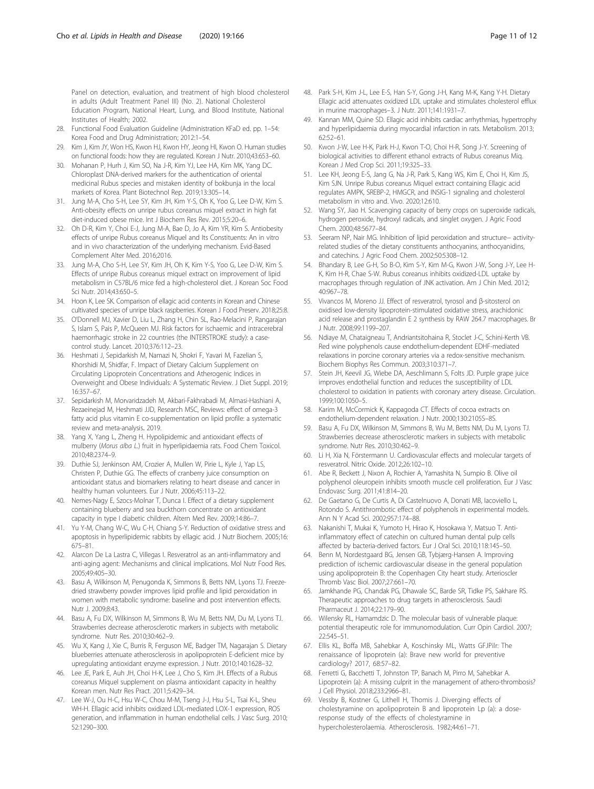<span id="page-10-0"></span>Panel on detection, evaluation, and treatment of high blood cholesterol in adults (Adult Treatment Panel III) (No. 2). National Cholesterol Education Program, National Heart, Lung, and Blood Institute, National Institutes of Health; 2002.

- 28. Functional Food Evaluation Guideline (Administration KFaD ed. pp. 1–54: Korea Food and Drug Administration; 2012:1–54.
- 29. Kim J, Kim JY, Won HS, Kwon HJ, Kwon HY, Jeong HI, Kwon O. Human studies on functional foods: how they are regulated. Korean J Nutr. 2010;43:653–60.
- 30. Mohanan P, Hurh J, Kim SO, Na J-R, Kim YJ, Lee HA, Kim MK, Yang DC. Chloroplast DNA-derived markers for the authentication of oriental medicinal Rubus species and mistaken identity of bokbunja in the local markets of Korea. Plant Biotechnol Rep. 2019;13:305–14.
- 31. Jung M-A, Cho S-H, Lee SY, Kim JH, Kim Y-S, Oh K, Yoo G, Lee D-W, Kim S. Anti-obesity effects on unripe rubus coreanus miquel extract in high fat diet-induced obese mice. Int J Biochem Res Rev. 2015;5:20–6.
- 32. Oh D-R, Kim Y, Choi E-J, Jung M-A, Bae D, Jo A, Kim YR, Kim S. Antiobesity effects of unripe Rubus coreanus Miquel and Its Constituents: An in vitro and in vivo characterization of the underlying mechanism. Evid-Based Complement Alter Med. 2016;2016.
- 33. Jung M-A, Cho S-H, Lee SY, Kim JH, Oh K, Kim Y-S, Yoo G, Lee D-W, Kim S. Effects of unripe Rubus coreanus miquel extract on improvement of lipid metabolism in C57BL/6 mice fed a high-cholesterol diet. J Korean Soc Food Sci Nutr. 2014;43:650–5.
- 34. Hoon K, Lee SK. Comparison of ellagic acid contents in Korean and Chinese cultivated species of unripe black raspberries. Korean J Food Preserv. 2018;25:8.
- 35. O'Donnell MJ, Xavier D, Liu L, Zhang H, Chin SL, Rao-Melacini P, Rangarajan S, Islam S, Pais P, McQueen MJ. Risk factors for ischaemic and intracerebral haemorrhagic stroke in 22 countries (the INTERSTROKE study): a casecontrol study. Lancet. 2010;376:112–23.
- 36. Heshmati J, Sepidarkish M, Namazi N, Shokri F, Yavari M, Fazelian S, Khorshidi M, Shidfar, F. Impact of Dietary Calcium Supplement on Circulating Lipoprotein Concentrations and Atherogenic Indices in Overweight and Obese Individuals: A Systematic Review. J Diet Suppl. 2019; 16:357–67.
- 37. Sepidarkish M, Morvaridzadeh M, Akbari-Fakhrabadi M, Almasi-Hashiani A, Rezaeinejad M, Heshmati JJD, Research MSC, Reviews: effect of omega-3 fatty acid plus vitamin E co-supplementation on lipid profile: a systematic review and meta-analysis. 2019.
- 38. Yang X, Yang L, Zheng H. Hypolipidemic and antioxidant effects of mulberry (Morus alba L.) fruit in hyperlipidaemia rats. Food Chem Toxicol. 2010;48:2374–9.
- 39. Duthie SJ, Jenkinson AM, Crozier A, Mullen W, Pirie L, Kyle J, Yap LS, Christen P, Duthie GG. The effects of cranberry juice consumption on antioxidant status and biomarkers relating to heart disease and cancer in healthy human volunteers. Eur J Nutr. 2006;45:113–22.
- 40. Nemes-Nagy E, Szocs-Molnar T, Dunca I. Effect of a dietary supplement containing blueberry and sea buckthorn concentrate on antioxidant capacity in type I diabetic children. Altern Med Rev. 2009;14:86–7.
- 41. Yu Y-M, Chang W-C, Wu C-H, Chiang S-Y. Reduction of oxidative stress and apoptosis in hyperlipidemic rabbits by ellagic acid. J Nutr Biochem. 2005;16: 675–81.
- 42. Alarcon De La Lastra C, Villegas I. Resveratrol as an anti-inflammatory and anti-aging agent: Mechanisms and clinical implications. Mol Nutr Food Res. 2005;49:405–30.
- 43. Basu A, Wilkinson M, Penugonda K, Simmons B, Betts NM, Lyons TJ. Freezedried strawberry powder improves lipid profile and lipid peroxidation in women with metabolic syndrome: baseline and post intervention effects. Nutr J. 2009;8:43.
- 44. Basu A, Fu DX, Wilkinson M, Simmons B, Wu M, Betts NM, Du M, Lyons TJ. Strawberries decrease atherosclerotic markers in subjects with metabolic syndrome. Nutr Res. 2010;30:462–9.
- 45. Wu X, Kang J, Xie C, Burris R, Ferguson ME, Badger TM, Nagarajan S. Dietary blueberries attenuate atherosclerosis in apolipoprotein E-deficient mice by upregulating antioxidant enzyme expression. J Nutr. 2010;140:1628–32.
- 46. Lee JE, Park E, Auh JH, Choi H-K, Lee J, Cho S, Kim JH. Effects of a Rubus coreanus Miquel supplement on plasma antioxidant capacity in healthy Korean men. Nutr Res Pract. 2011;5:429–34.
- 47. Lee W-J, Ou H-C, Hsu W-C, Chou M-M, Tseng J-J, Hsu S-L, Tsai K-L, Sheu WH-H. Ellagic acid inhibits oxidized LDL-mediated LOX-1 expression, ROS generation, and inflammation in human endothelial cells. J Vasc Surg. 2010; 52:1290–300.
- 48. Park S-H, Kim J-L, Lee E-S, Han S-Y, Gong J-H, Kang M-K, Kang Y-H. Dietary Ellagic acid attenuates oxidized LDL uptake and stimulates cholesterol efflux in murine macrophages–3. J Nutr. 2011;141:1931–7.
- 49. Kannan MM, Quine SD. Ellagic acid inhibits cardiac arrhythmias, hypertrophy and hyperlipidaemia during myocardial infarction in rats. Metabolism. 2013; 62:52–61.
- 50. Kwon J-W, Lee H-K, Park H-J, Kwon T-O, Choi H-R, Song J-Y. Screening of biological activities to different ethanol extracts of Rubus coreanus Miq. Korean J Med Crop Sci. 2011;19:325–33.
- 51. Lee KH, Jeong E-S, Jang G, Na J-R, Park S, Kang WS, Kim E, Choi H, Kim JS, Kim SJN. Unripe Rubus coreanus Miquel extract containing Ellagic acid regulates AMPK, SREBP-2, HMGCR, and INSIG-1 signaling and cholesterol metabolism in vitro and. Vivo. 2020;12:610.
- 52. Wang SY, Jiao H. Scavenging capacity of berry crops on superoxide radicals, hydrogen peroxide, hydroxyl radicals, and singlet oxygen. J Agric Food Chem. 2000;48:5677–84.
- 53. Seeram NP, Nair MG. Inhibition of lipid peroxidation and structure− activityrelated studies of the dietary constituents anthocyanins, anthocyanidins, and catechins. J Agric Food Chem. 2002;50:5308–12.
- 54. Bhandary B, Lee G-H, So B-O, Kim S-Y, Kim M-G, Kwon J-W, Song J-Y, Lee H-K, Kim H-R, Chae S-W. Rubus coreanus inhibits oxidized-LDL uptake by macrophages through regulation of JNK activation. Am J Chin Med. 2012; 40:967–78.
- 55. Vivancos M, Moreno JJ. Effect of resveratrol, tyrosol and β-sitosterol on oxidised low-density lipoprotein-stimulated oxidative stress, arachidonic acid release and prostaglandin E 2 synthesis by RAW 264.7 macrophages. Br J Nutr. 2008;99:1199–207.
- 56. Ndiaye M, Chataigneau T, Andriantsitohaina R, Stoclet J-C, Schini-Kerth VB. Red wine polyphenols cause endothelium-dependent EDHF-mediated relaxations in porcine coronary arteries via a redox-sensitive mechanism. Biochem Biophys Res Commun. 2003;310:371–7.
- 57. Stein JH, Keevil JG, Wiebe DA, Aeschlimann S, Folts JD. Purple grape juice improves endothelial function and reduces the susceptibility of LDL cholesterol to oxidation in patients with coronary artery disease. Circulation. 1999;100:1050–5.
- 58. Karim M, McCormick K, Kappagoda CT. Effects of cocoa extracts on endothelium-dependent relaxation. J Nutr. 2000;130:2105S–8S.
- 59. Basu A, Fu DX, Wilkinson M, Simmons B, Wu M, Betts NM, Du M, Lyons TJ. Strawberries decrease atherosclerotic markers in subjects with metabolic syndrome. Nutr Res. 2010;30:462–9.
- 60. Li H, Xia N, Förstermann U. Cardiovascular effects and molecular targets of resveratrol. Nitric Oxide. 2012;26:102–10.
- 61. Abe R, Beckett J, Nixon A, Rochier A, Yamashita N, Sumpio B. Olive oil polyphenol oleuropein inhibits smooth muscle cell proliferation. Eur J Vasc Endovasc Surg. 2011;41:814–20.
- 62. De Gaetano G, De Curtis A, Di Castelnuovo A, Donati MB, Iacoviello L, Rotondo S. Antithrombotic effect of polyphenols in experimental models. Ann N Y Acad Sci. 2002;957:174–88.
- 63. Nakanishi T, Mukai K, Yumoto H, Hirao K, Hosokawa Y, Matsuo T. Antiinflammatory effect of catechin on cultured human dental pulp cells affected by bacteria-derived factors. Eur J Oral Sci. 2010;118:145–50.
- 64. Benn M, Nordestgaard BG, Jensen GB, Tybjærg-Hansen A. Improving prediction of ischemic cardiovascular disease in the general population using apolipoprotein B: the Copenhagen City heart study. Arterioscler Thromb Vasc Biol. 2007;27:661–70.
- 65. Jamkhande PG, Chandak PG, Dhawale SC, Barde SR, Tidke PS, Sakhare RS. Therapeutic approaches to drug targets in atherosclerosis. Saudi Pharmaceut J. 2014;22:179–90.
- 66. Wilensky RL, Hamamdzic D. The molecular basis of vulnerable plaque: potential therapeutic role for immunomodulation. Curr Opin Cardiol. 2007; 22:545–51.
- 67. Ellis KL, Boffa MB, Sahebkar A, Koschinsky ML, Watts GFJPilr: The renaissance of lipoprotein (a): Brave new world for preventive cardiology? 2017, 68:57–82.
- 68. Ferretti G, Bacchetti T, Johnston TP, Banach M, Pirro M, Sahebkar A. Lipoprotein (a): A missing culprit in the management of athero-thrombosis? J Cell Physiol. 2018;233:2966–81.
- 69. Vessby B, Kostner G, Lithell H, Thomis J. Diverging effects of cholestyramine on apolipoprotein B and lipoprotein Lp (a): a doseresponse study of the effects of cholestyramine in hypercholesterolaemia. Atherosclerosis. 1982;44:61–71.